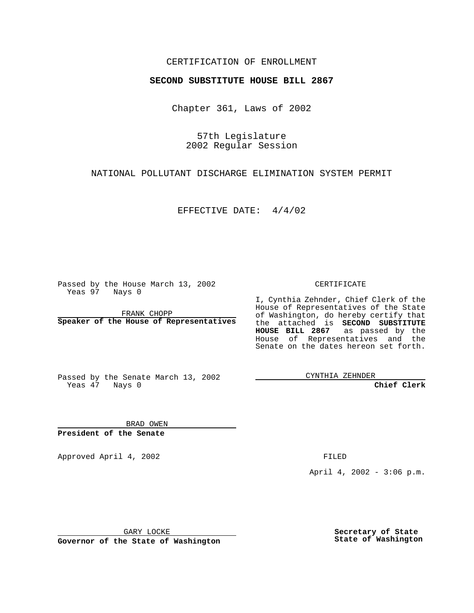#### CERTIFICATION OF ENROLLMENT

# **SECOND SUBSTITUTE HOUSE BILL 2867**

Chapter 361, Laws of 2002

57th Legislature 2002 Regular Session

NATIONAL POLLUTANT DISCHARGE ELIMINATION SYSTEM PERMIT

EFFECTIVE DATE: 4/4/02

Passed by the House March 13, 2002 Yeas 97 Nays 0

FRANK CHOPP **Speaker of the House of Representatives** CERTIFICATE

I, Cynthia Zehnder, Chief Clerk of the House of Representatives of the State of Washington, do hereby certify that the attached is **SECOND SUBSTITUTE HOUSE BILL 2867** as passed by the House of Representatives and the Senate on the dates hereon set forth.

Passed by the Senate March 13, 2002 Yeas 47 Nays 0

CYNTHIA ZEHNDER

**Chief Clerk**

BRAD OWEN **President of the Senate**

Approved April 4, 2002 and the state of the FILED

April 4, 2002 - 3:06 p.m.

GARY LOCKE

**Governor of the State of Washington**

**Secretary of State State of Washington**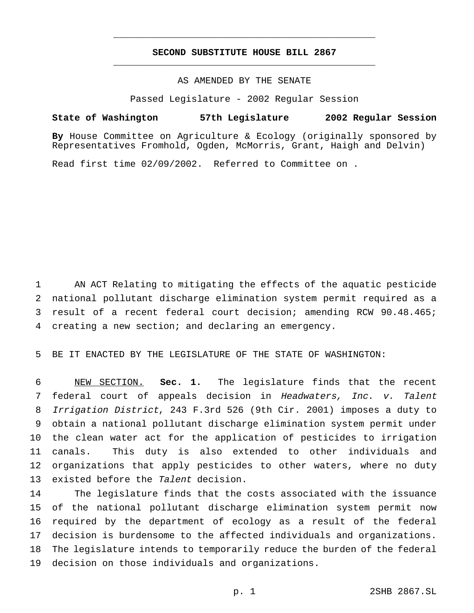### **SECOND SUBSTITUTE HOUSE BILL 2867** \_\_\_\_\_\_\_\_\_\_\_\_\_\_\_\_\_\_\_\_\_\_\_\_\_\_\_\_\_\_\_\_\_\_\_\_\_\_\_\_\_\_\_\_\_\_\_

\_\_\_\_\_\_\_\_\_\_\_\_\_\_\_\_\_\_\_\_\_\_\_\_\_\_\_\_\_\_\_\_\_\_\_\_\_\_\_\_\_\_\_\_\_\_\_

## AS AMENDED BY THE SENATE

Passed Legislature - 2002 Regular Session

#### **State of Washington 57th Legislature 2002 Regular Session**

**By** House Committee on Agriculture & Ecology (originally sponsored by Representatives Fromhold, Ogden, McMorris, Grant, Haigh and Delvin)

Read first time 02/09/2002. Referred to Committee on .

 AN ACT Relating to mitigating the effects of the aquatic pesticide national pollutant discharge elimination system permit required as a result of a recent federal court decision; amending RCW 90.48.465; creating a new section; and declaring an emergency.

BE IT ENACTED BY THE LEGISLATURE OF THE STATE OF WASHINGTON:

 NEW SECTION. **Sec. 1.** The legislature finds that the recent federal court of appeals decision in Headwaters, Inc. v. Talent Irrigation District, 243 F.3rd 526 (9th Cir. 2001) imposes a duty to obtain a national pollutant discharge elimination system permit under the clean water act for the application of pesticides to irrigation canals. This duty is also extended to other individuals and organizations that apply pesticides to other waters, where no duty 13 existed before the Talent decision.

 The legislature finds that the costs associated with the issuance of the national pollutant discharge elimination system permit now required by the department of ecology as a result of the federal decision is burdensome to the affected individuals and organizations. The legislature intends to temporarily reduce the burden of the federal decision on those individuals and organizations.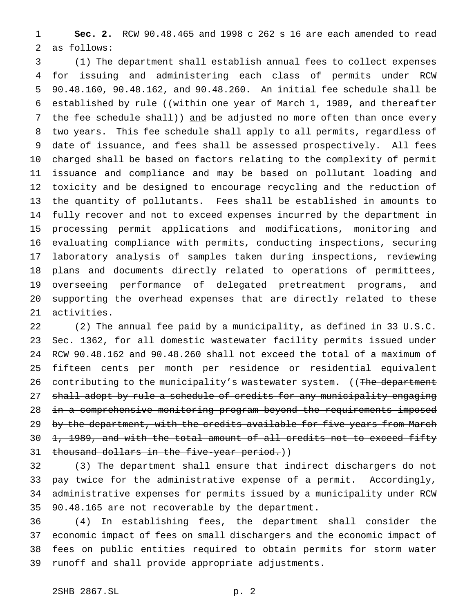**Sec. 2.** RCW 90.48.465 and 1998 c 262 s 16 are each amended to read as follows:

 (1) The department shall establish annual fees to collect expenses for issuing and administering each class of permits under RCW 90.48.160, 90.48.162, and 90.48.260. An initial fee schedule shall be established by rule ((within one year of March 1, 1989, and thereafter 7 the fee schedule shall)) and be adjusted no more often than once every two years. This fee schedule shall apply to all permits, regardless of date of issuance, and fees shall be assessed prospectively. All fees charged shall be based on factors relating to the complexity of permit issuance and compliance and may be based on pollutant loading and toxicity and be designed to encourage recycling and the reduction of the quantity of pollutants. Fees shall be established in amounts to fully recover and not to exceed expenses incurred by the department in processing permit applications and modifications, monitoring and evaluating compliance with permits, conducting inspections, securing laboratory analysis of samples taken during inspections, reviewing plans and documents directly related to operations of permittees, overseeing performance of delegated pretreatment programs, and supporting the overhead expenses that are directly related to these activities.

 (2) The annual fee paid by a municipality, as defined in 33 U.S.C. Sec. 1362, for all domestic wastewater facility permits issued under RCW 90.48.162 and 90.48.260 shall not exceed the total of a maximum of fifteen cents per month per residence or residential equivalent 26 contributing to the municipality's wastewater system. ((The department 27 shall adopt by rule a schedule of credits for any municipality engaging 28 in a comprehensive monitoring program beyond the requirements imposed 29 by the department, with the credits available for five years from March 30 1, 1989, and with the total amount of all credits not to exceed fifty 31 thousand dollars in the five-year period.))

 (3) The department shall ensure that indirect dischargers do not pay twice for the administrative expense of a permit. Accordingly, administrative expenses for permits issued by a municipality under RCW 90.48.165 are not recoverable by the department.

 (4) In establishing fees, the department shall consider the economic impact of fees on small dischargers and the economic impact of fees on public entities required to obtain permits for storm water runoff and shall provide appropriate adjustments.